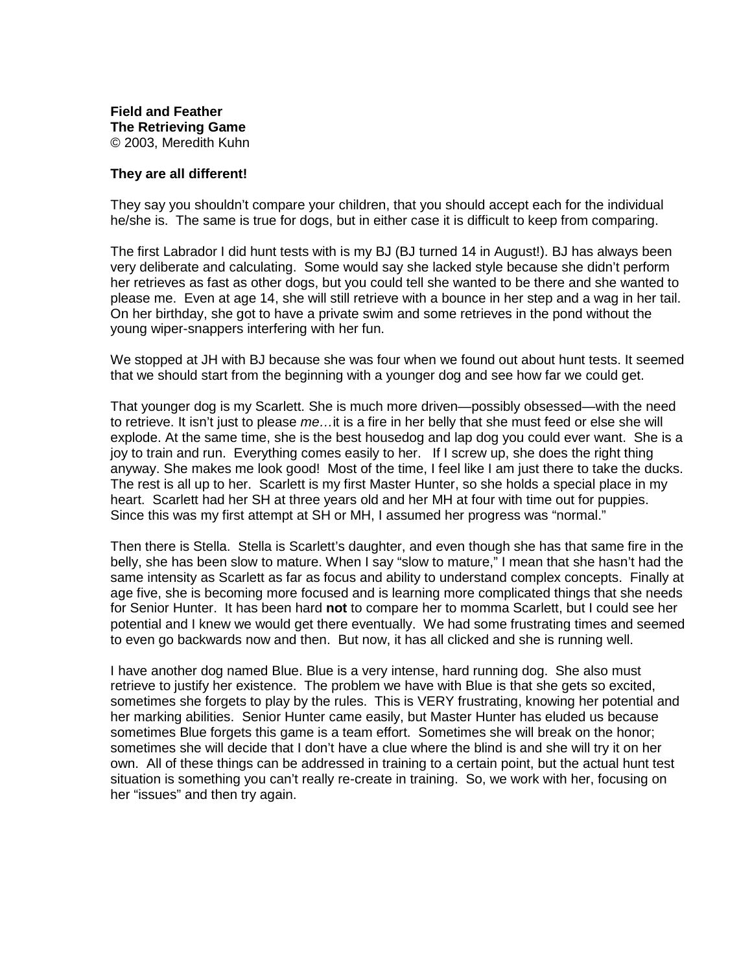## **They are all different!**

They say you shouldn't compare your children, that you should accept each for the individual he/she is. The same is true for dogs, but in either case it is difficult to keep from comparing.

The first Labrador I did hunt tests with is my BJ (BJ turned 14 in August!). BJ has always been very deliberate and calculating. Some would say she lacked style because she didn't perform her retrieves as fast as other dogs, but you could tell she wanted to be there and she wanted to please me. Even at age 14, she will still retrieve with a bounce in her step and a wag in her tail. On her birthday, she got to have a private swim and some retrieves in the pond without the young wiper-snappers interfering with her fun.

We stopped at JH with BJ because she was four when we found out about hunt tests. It seemed that we should start from the beginning with a younger dog and see how far we could get.

That younger dog is my Scarlett. She is much more driven—possibly obsessed—with the need to retrieve. It isn't just to please me...it is a fire in her belly that she must feed or else she will explode. At the same time, she is the best housedog and lap dog you could ever want. She is a joy to train and run. Everything comes easily to her. If I screw up, she does the right thing anyway. She makes me look good! Most of the time, I feel like I am just there to take the ducks. The rest is all up to her. Scarlett is my first Master Hunter, so she holds a special place in my heart. Scarlett had her SH at three years old and her MH at four with time out for puppies. Since this was my first attempt at SH or MH, I assumed her progress was "normal."

Then there is Stella. Stella is Scarlett's daughter, and even though she has that same fire in the belly, she has been slow to mature. When I say "slow to mature," I mean that she hasn't had the same intensity as Scarlett as far as focus and ability to understand complex concepts. Finally at age five, she is becoming more focused and is learning more complicated things that she needs for Senior Hunter. It has been hard **not** to compare her to momma Scarlett, but I could see her potential and I knew we would get there eventually. We had some frustrating times and seemed to even go backwards now and then. But now, it has all clicked and she is running well.

I have another dog named Blue. Blue is a very intense, hard running dog. She also must retrieve to justify her existence. The problem we have with Blue is that she gets so excited, sometimes she forgets to play by the rules. This is VERY frustrating, knowing her potential and her marking abilities. Senior Hunter came easily, but Master Hunter has eluded us because sometimes Blue forgets this game is a team effort. Sometimes she will break on the honor; sometimes she will decide that I don't have a clue where the blind is and she will try it on her own. All of these things can be addressed in training to a certain point, but the actual hunt test situation is something you can't really re-create in training. So, we work with her, focusing on her "issues" and then try again.